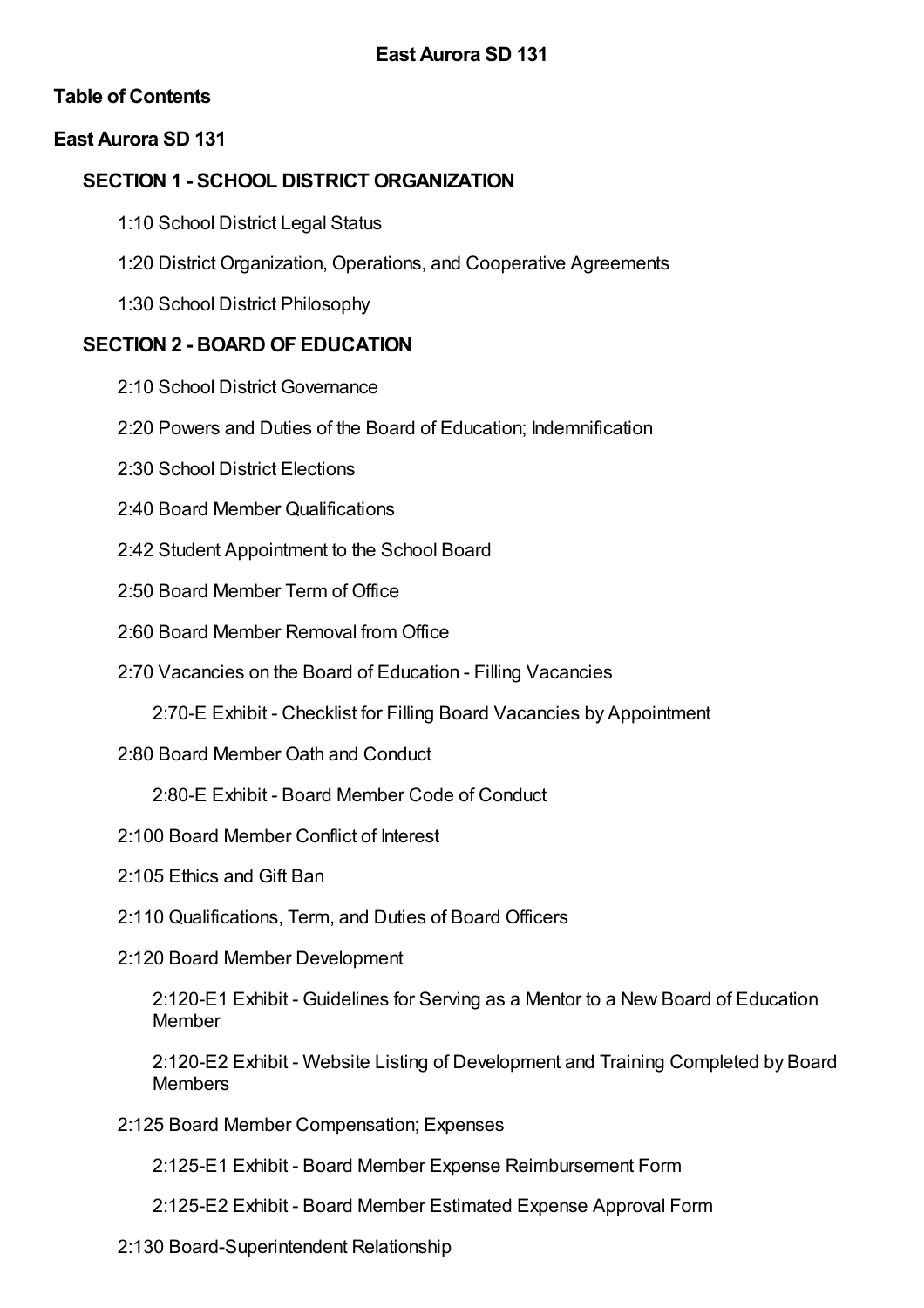## **Table of Contents**

## **East Aurora SD 131**

### **SECTION 1 - SCHOOL DISTRICT ORGANIZATION**

- 1:10 School District Legal Status
- 1:20 District Organization, Operations, and Cooperative Agreements
- 1:30 School District Philosophy

## **SECTION 2 - BOARD OF EDUCATION**

- 2:10 School District Governance
- 2:20 Powers and Duties of the Board of Education; Indemnification
- 2:30 School District Elections
- 2:40 Board Member Qualifications
- 2:42 Student Appointment to the School Board
- 2:50 Board Member Term of Office
- 2:60 Board Member Removal from Office
- 2:70 Vacancies on the Board of Education Filling Vacancies
	- 2:70-E Exhibit Checklist for Filling Board Vacancies by Appointment
- 2:80 Board Member Oath and Conduct
	- 2:80-E Exhibit Board Member Code of Conduct
- 2:100 Board Member Conflict of Interest
- 2:105 Ethics and Gift Ban
- 2:110 Qualifications, Term, and Duties of Board Officers
- 2:120 Board Member Development

2:120-E1 Exhibit - Guidelines for Serving as a Mentor to a New Board of Education Member

2:120-E2 Exhibit - Website Listing of Development and Training Completed by Board **Members** 

- 2:125 Board Member Compensation; Expenses
	- 2:125-E1 Exhibit Board Member Expense Reimbursement Form
	- 2:125-E2 Exhibit Board Member Estimated Expense Approval Form
- 2:130 Board-Superintendent Relationship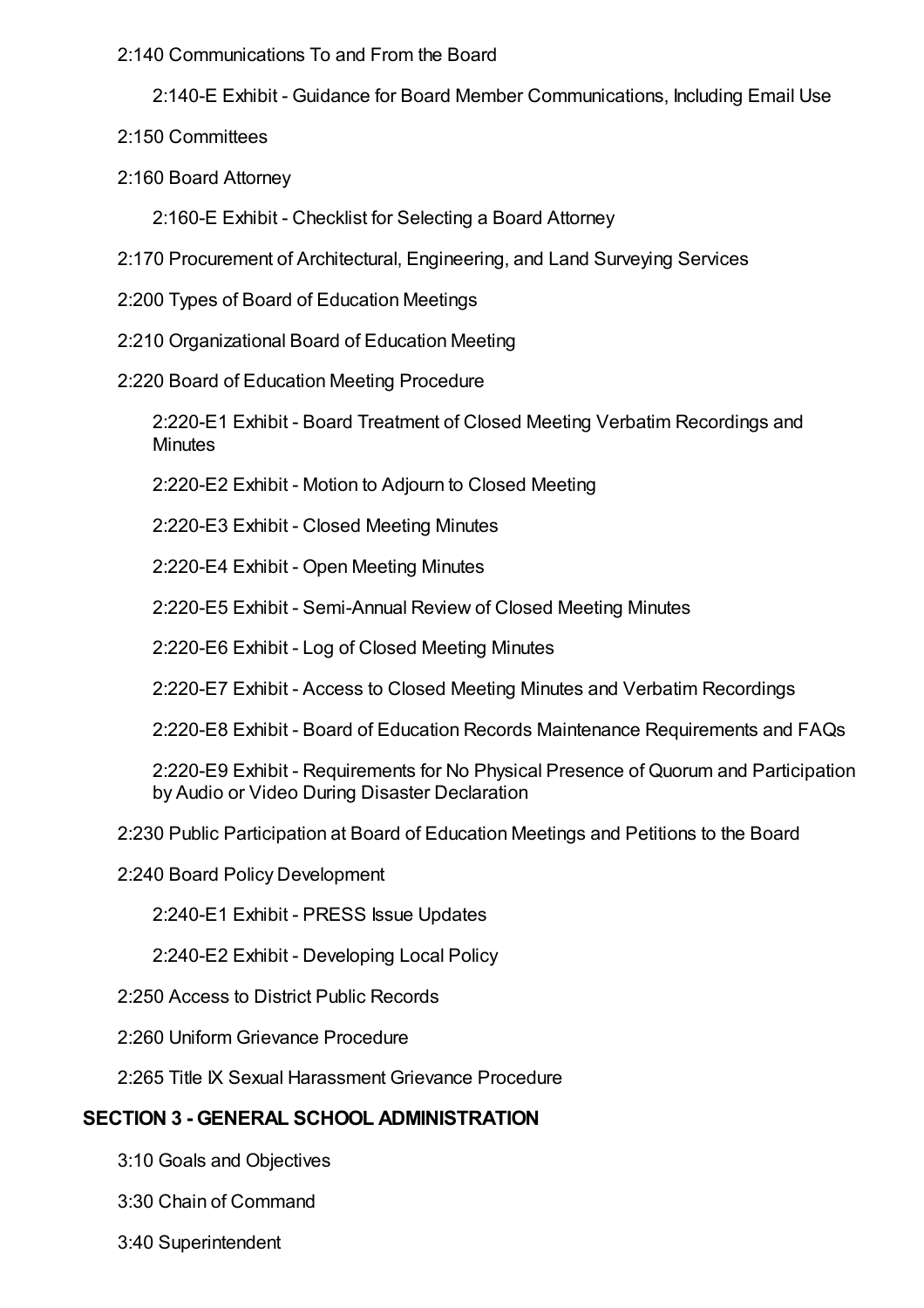#### 2:140 Communications To and From the Board

- 2:140-E Exhibit Guidance for Board Member Communications, Including Email Use
- 2:150 Committees
- 2:160 Board Attorney
	- 2:160-E Exhibit Checklist for Selecting a Board Attorney
- 2:170 Procurement of Architectural, Engineering, and Land Surveying Services
- 2:200 Types of Board of Education Meetings
- 2:210 Organizational Board of Education Meeting
- 2:220 Board of Education Meeting Procedure

2:220-E1 Exhibit - Board Treatment of Closed Meeting Verbatim Recordings and **Minutes** 

2:220-E2 Exhibit - Motion to Adjourn to Closed Meeting

2:220-E3 Exhibit - Closed Meeting Minutes

2:220-E4 Exhibit - Open Meeting Minutes

2:220-E5 Exhibit - Semi-Annual Review of Closed Meeting Minutes

2:220-E6 Exhibit - Log of Closed Meeting Minutes

2:220-E7 Exhibit - Access to Closed Meeting Minutes and Verbatim Recordings

2:220-E8 Exhibit - Board of Education Records Maintenance Requirements and FAQs

2:220-E9 Exhibit - Requirements for No Physical Presence of Quorum and Participation by Audio or Video During Disaster Declaration

2:230 Public Participation at Board of Education Meetings and Petitions to the Board

2:240 Board Policy Development

2:240-E1 Exhibit - PRESS Issue Updates

2:240-E2 Exhibit - Developing Local Policy

- 2:250 Access to District Public Records
- 2:260 Uniform Grievance Procedure
- 2:265 Title IX Sexual Harassment Grievance Procedure

### **SECTION 3 - GENERAL SCHOOL ADMINISTRATION**

- 3:10 Goals and Objectives
- 3:30 Chain of Command
- 3:40 Superintendent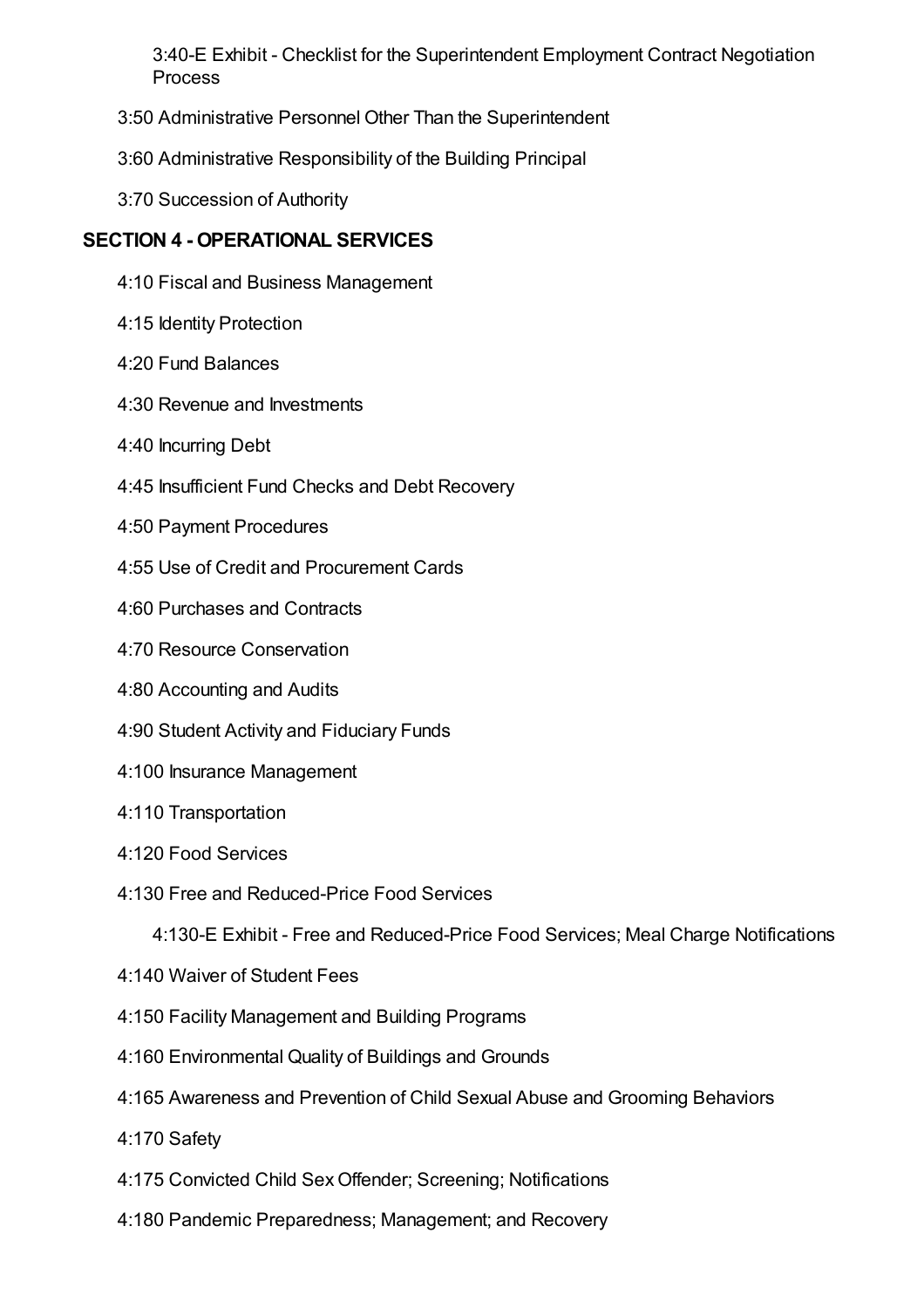3:40-E Exhibit - Checklist for the Superintendent Employment Contract Negotiation **Process** 

- 3:50 Administrative Personnel Other Than the Superintendent
- 3:60 Administrative Responsibility of the Building Principal
- 3:70 Succession of Authority

### **SECTION 4 - OPERATIONAL SERVICES**

- 4:10 Fiscal and Business Management
- 4:15 Identity Protection
- 4:20 Fund Balances
- 4:30 Revenue and Investments
- 4:40 Incurring Debt
- 4:45 Insufficient Fund Checks and Debt Recovery
- 4:50 Payment Procedures
- 4:55 Use of Credit and Procurement Cards
- 4:60 Purchases and Contracts
- 4:70 Resource Conservation
- 4:80 Accounting and Audits
- 4:90 Student Activity and Fiduciary Funds
- 4:100 Insurance Management
- 4:110 Transportation
- 4:120 Food Services
- 4:130 Free and Reduced-Price Food Services

4:130-E Exhibit - Free and Reduced-Price Food Services; Meal Charge Notifications

- 4:140 Waiver of Student Fees
- 4:150 Facility Management and Building Programs
- 4:160 Environmental Quality of Buildings and Grounds
- 4:165 Awareness and Prevention of Child Sexual Abuse and Grooming Behaviors
- 4:170 Safety
- 4:175 Convicted Child SexOffender; Screening; Notifications
- 4:180 Pandemic Preparedness; Management; and Recovery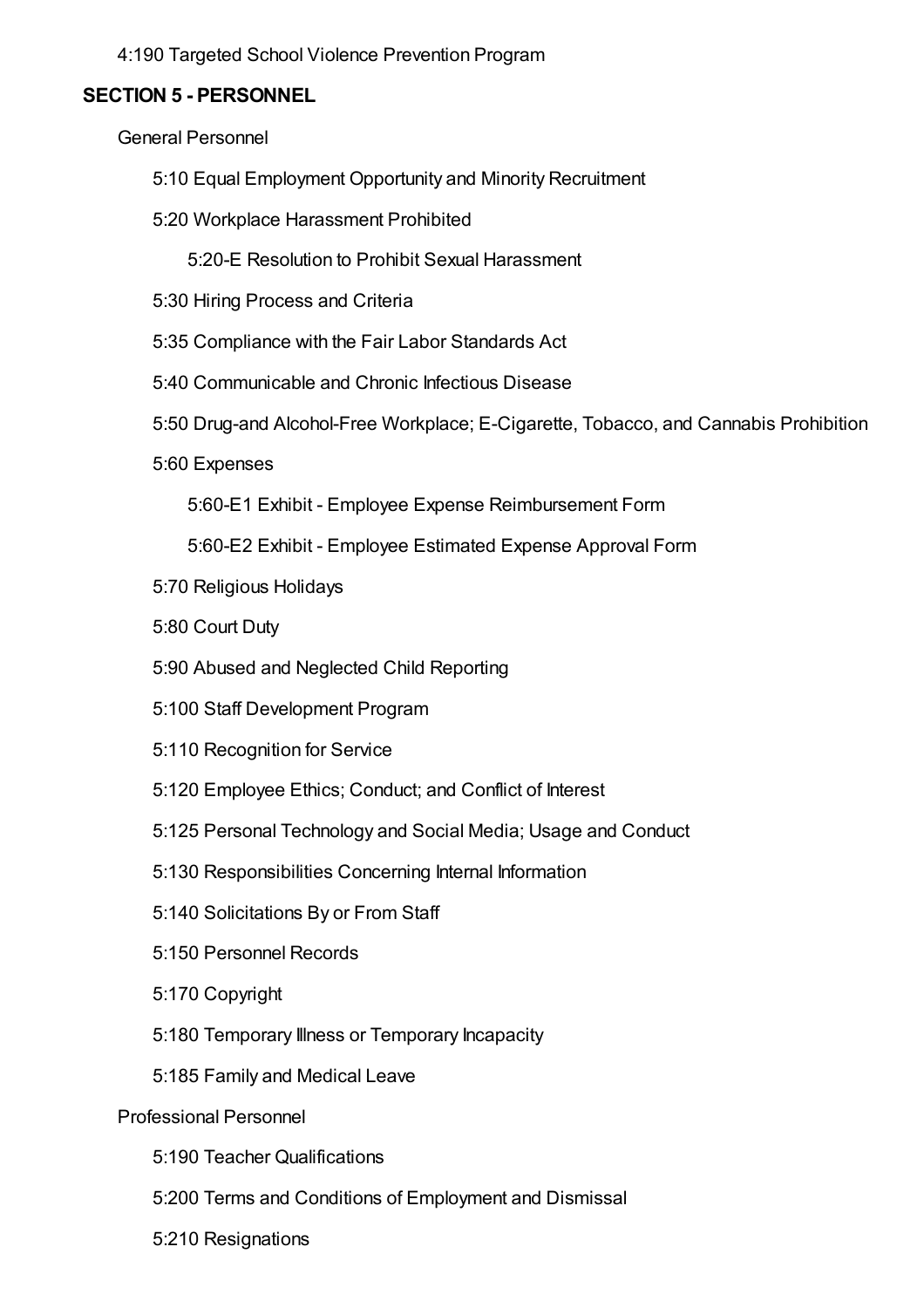4:190 Targeted School Violence Prevention Program

#### **SECTION 5 - PERSONNEL**

General Personnel

- 5:10 Equal Employment Opportunity and Minority Recruitment
- 5:20 Workplace Harassment Prohibited
	- 5:20-E Resolution to Prohibit Sexual Harassment
- 5:30 Hiring Process and Criteria
- 5:35 Compliance with the Fair Labor Standards Act
- 5:40 Communicable and Chronic Infectious Disease
- 5:50 Drug-and Alcohol-Free Workplace; E-Cigarette, Tobacco, and Cannabis Prohibition
- 5:60 Expenses

5:60-E1 Exhibit - Employee Expense Reimbursement Form

5:60-E2 Exhibit - Employee Estimated Expense Approval Form

- 5:70 Religious Holidays
- 5:80 Court Duty
- 5:90 Abused and Neglected Child Reporting
- 5:100 Staff Development Program
- 5:110 Recognition for Service
- 5:120 Employee Ethics; Conduct; and Conflict of Interest
- 5:125 Personal Technology and Social Media; Usage and Conduct
- 5:130 Responsibilities Concerning Internal Information
- 5:140 Solicitations By or From Staff
- 5:150 Personnel Records
- 5:170 Copyright
- 5:180 Temporary Illness or Temporary Incapacity
- 5:185 Family and Medical Leave

#### Professional Personnel

- 5:190 Teacher Qualifications
- 5:200 Terms and Conditions of Employment and Dismissal
- 5:210 Resignations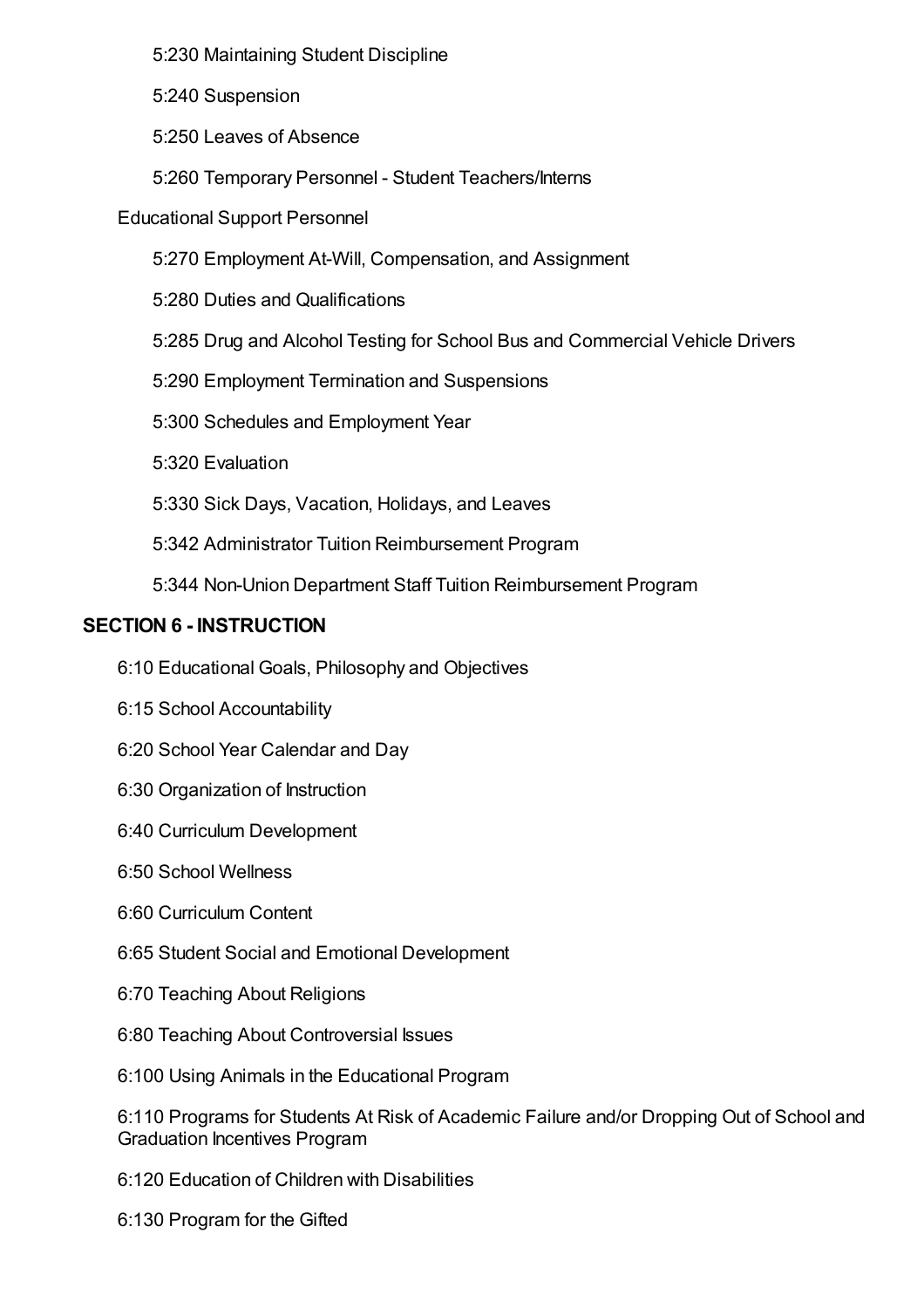5:230 Maintaining Student Discipline

5:240 Suspension

5:250 Leaves of Absence

5:260 Temporary Personnel - Student Teachers/Interns

Educational Support Personnel

5:270 Employment At-Will, Compensation, and Assignment

5:280 Duties and Qualifications

5:285 Drug and Alcohol Testing for School Bus and Commercial Vehicle Drivers

5:290 Employment Termination and Suspensions

5:300 Schedules and Employment Year

5:320 Evaluation

5:330 Sick Days, Vacation, Holidays, and Leaves

5:342 Administrator Tuition Reimbursement Program

5:344 Non-Union Department Staff Tuition Reimbursement Program

### **SECTION 6 - INSTRUCTION**

6:10 Educational Goals, Philosophy and Objectives

6:15 School Accountability

6:20 School Year Calendar and Day

6:30 Organization of Instruction

6:40 Curriculum Development

6:50 School Wellness

6:60 Curriculum Content

6:65 Student Social and Emotional Development

6:70 Teaching About Religions

6:80 Teaching About Controversial Issues

6:100 Using Animals in the Educational Program

6:110 Programs for Students At Risk of Academic Failure and/or Dropping Out of School and Graduation Incentives Program

6:120 Education of Children with Disabilities

6:130 Program for the Gifted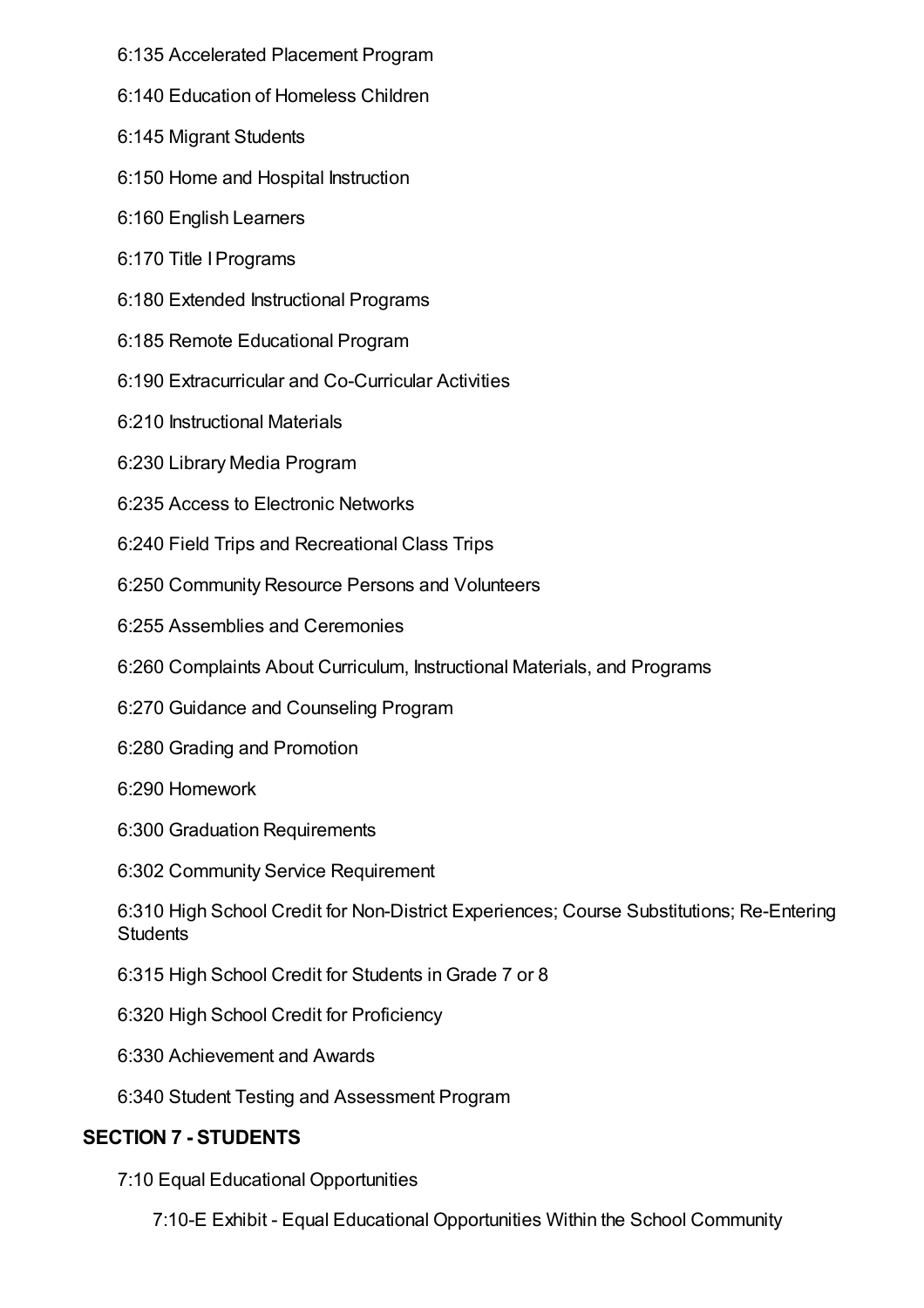- 6:135 Accelerated Placement Program
- 6:140 Education of Homeless Children
- 6:145 Migrant Students
- 6:150 Home and Hospital Instruction
- 6:160 English Learners
- 6:170 Title IPrograms
- 6:180 Extended Instructional Programs
- 6:185 Remote Educational Program
- 6:190 Extracurricular and Co-Curricular Activities
- 6:210 Instructional Materials
- 6:230 Library Media Program
- 6:235 Access to Electronic Networks
- 6:240 Field Trips and Recreational Class Trips
- 6:250 Community Resource Persons and Volunteers
- 6:255 Assemblies and Ceremonies
- 6:260 Complaints About Curriculum, Instructional Materials, and Programs
- 6:270 Guidance and Counseling Program
- 6:280 Grading and Promotion
- 6:290 Homework
- 6:300 Graduation Requirements
- 6:302 Community Service Requirement

6:310 High School Credit for Non-District Experiences; Course Substitutions; Re-Entering **Students** 

- 6:315 High School Credit for Students inGrade 7 or 8
- 6:320 High School Credit for Proficiency
- 6:330 Achievement and Awards
- 6:340 Student Testing and Assessment Program

# **SECTION 7 - STUDENTS**

- 7:10 Equal Educational Opportunities
	- 7:10-E Exhibit Equal Educational Opportunities Within the School Community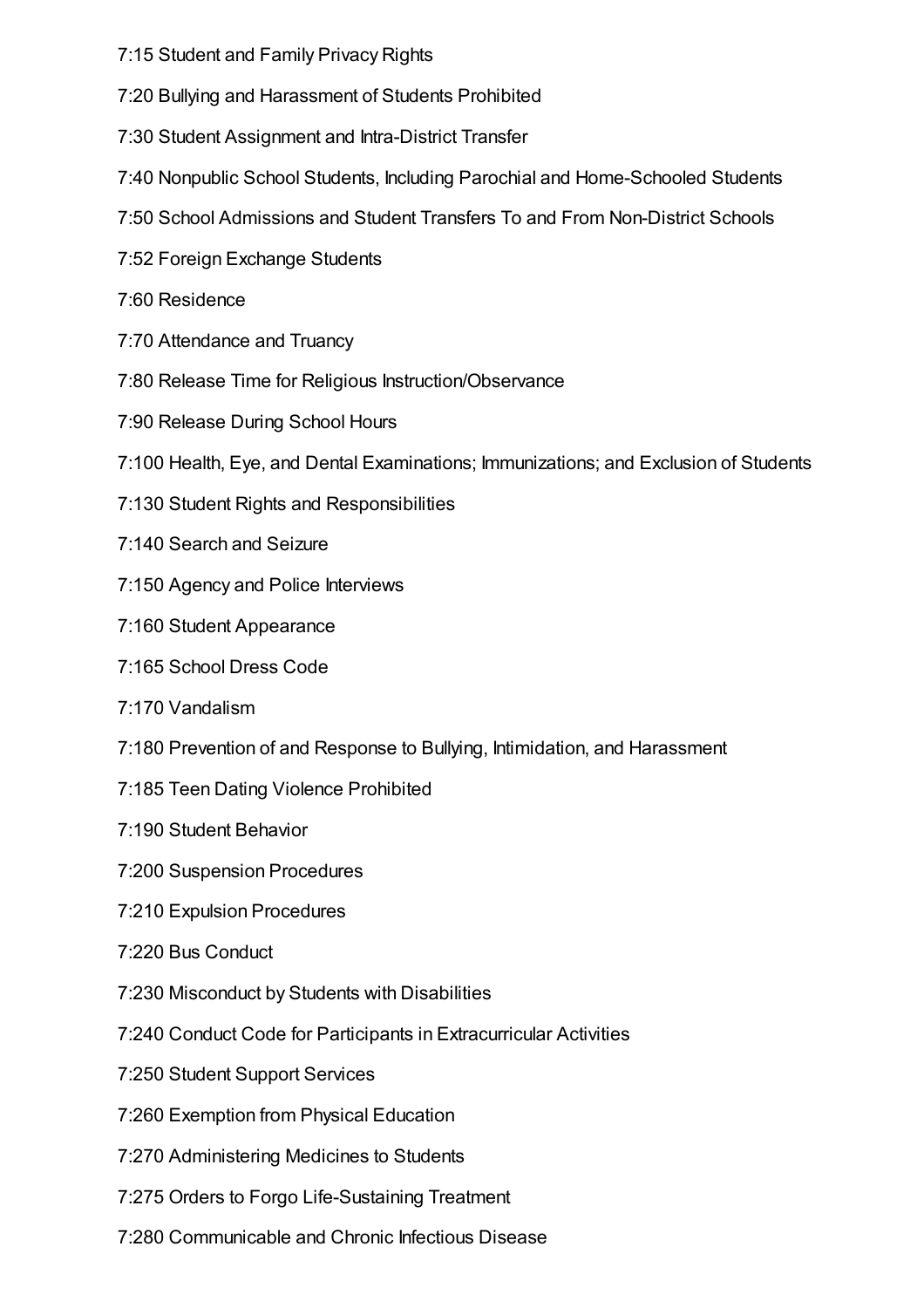- 7:15 Student and Family Privacy Rights
- 7:20 Bullying and Harassment of Students Prohibited
- 7:30 Student Assignment and Intra-District Transfer
- 7:40 Nonpublic School Students, Including Parochial and Home-Schooled Students
- 7:50 School Admissions and Student Transfers To and From Non-District Schools
- 7:52 Foreign Exchange Students
- 7:60 Residence
- 7:70 Attendance and Truancy
- 7:80 Release Time for Religious Instruction/Observance
- 7:90 Release During School Hours
- 7:100 Health, Eye, and Dental Examinations; Immunizations; and Exclusion of Students
- 7:130 Student Rights and Responsibilities
- 7:140 Search and Seizure
- 7:150 Agency and Police Interviews
- 7:160 Student Appearance
- 7:165 School Dress Code
- 7:170 Vandalism
- 7:180 Prevention of and Response to Bullying, Intimidation, and Harassment
- 7:185 Teen Dating Violence Prohibited
- 7:190 Student Behavior
- 7:200 Suspension Procedures
- 7:210 Expulsion Procedures
- 7:220 Bus Conduct
- 7:230 Misconduct by Students with Disabilities
- 7:240 Conduct Code for Participants in Extracurricular Activities
- 7:250 Student Support Services
- 7:260 Exemption from Physical Education
- 7:270 Administering Medicines to Students
- 7:275 Orders to Forgo Life-Sustaining Treatment
- 7:280 Communicable and Chronic Infectious Disease